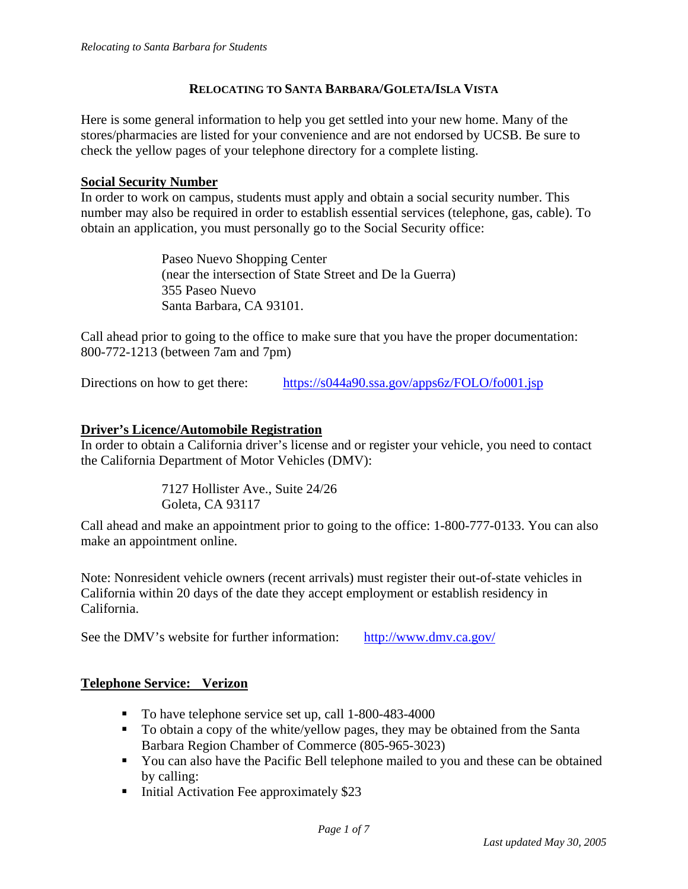#### **RELOCATING TO SANTA BARBARA/GOLETA/ISLA VISTA**

Here is some general information to help you get settled into your new home. Many of the stores/pharmacies are listed for your convenience and are not endorsed by UCSB. Be sure to check the yellow pages of your telephone directory for a complete listing.

#### **Social Security Number**

In order to work on campus, students must apply and obtain a social security number. This number may also be required in order to establish essential services (telephone, gas, cable). To obtain an application, you must personally go to the Social Security office:

> Paseo Nuevo Shopping Center (near the intersection of State Street and De la Guerra) 355 Paseo Nuevo Santa Barbara, CA 93101.

Call ahead prior to going to the office to make sure that you have the proper documentation: 800-772-1213 (between 7am and 7pm)

Directions on how to get there: https://s044a90.ssa.gov/apps6z/FOLO/fo001.jsp

#### **Driver's Licence/Automobile Registration**

In order to obtain a California driver's license and or register your vehicle, you need to contact the California Department of Motor Vehicles (DMV):

> 7127 Hollister Ave., Suite 24/26 Goleta, CA 93117

Call ahead and make an appointment prior to going to the office: 1-800-777-0133. You can also make an appointment online.

Note: Nonresident vehicle owners (recent arrivals) must register their out-of-state vehicles in California within 20 days of the date they accept employment or establish residency in California.

See the DMV's website for further information: http://www.dmv.ca.gov/

### **Telephone Service: Verizon**

- To have telephone service set up, call 1-800-483-4000
- To obtain a copy of the white/yellow pages, they may be obtained from the Santa Barbara Region Chamber of Commerce (805-965-3023)
- You can also have the Pacific Bell telephone mailed to you and these can be obtained by calling:
- Initial Activation Fee approximately  $$23$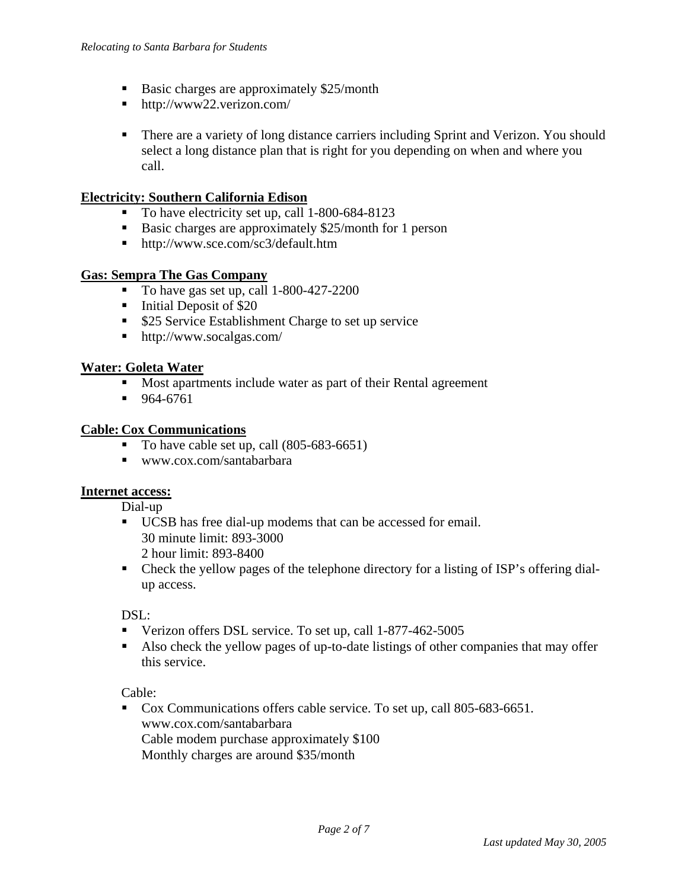- Basic charges are approximately \$25/month
- http://www22.verizon.com/
- **There are a variety of long distance carriers including Sprint and Verizon. You should** select a long distance plan that is right for you depending on when and where you call.

#### **Electricity: Southern California Edison**

- To have electricity set up, call 1-800-684-8123
- Basic charges are approximately \$25/month for 1 person
- http://www.sce.com/sc3/default.htm

#### **Gas: Sempra The Gas Company**

- To have gas set up, call 1-800-427-2200
- $\blacksquare$  Initial Deposit of \$20
- **525 Service Establishment Charge to set up service**
- http://www.socalgas.com/

#### **Water: Goleta Water**

- **Most apartments include water as part of their Rental agreement**
- $964-6761$

#### **Cable: Cox Communications**

- $\blacksquare$  To have cable set up, call (805-683-6651)
- www.cox.com/santabarbara

#### **Internet access:**

Dial-up

- UCSB has free dial-up modems that can be accessed for email. 30 minute limit: 893-3000 2 hour limit: 893-8400
- Check the yellow pages of the telephone directory for a listing of ISP's offering dialup access.

#### DSL:

- Verizon offers DSL service. To set up, call 1-877-462-5005
- Also check the yellow pages of up-to-date listings of other companies that may offer this service.

#### Cable:

 Cox Communications offers cable service. To set up, call 805-683-6651. www.cox.com/santabarbara Cable modem purchase approximately \$100 Monthly charges are around \$35/month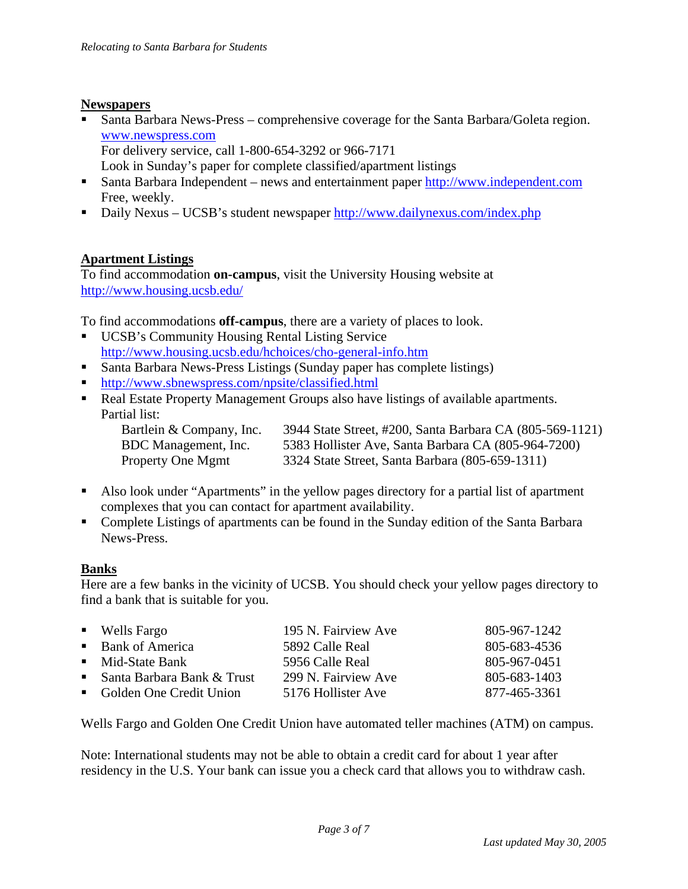### **Newspapers**

 Santa Barbara News-Press – comprehensive coverage for the Santa Barbara/Goleta region. www.newspress.com For delivery service, call 1-800-654-3292 or 966-7171

Look in Sunday's paper for complete classified/apartment listings

- Santa Barbara Independent news and entertainment paper http://www.independent.com Free, weekly.
- Daily Nexus UCSB's student newspaper http://www.dailynexus.com/index.php

## **Apartment Listings**

To find accommodation **on-campus**, visit the University Housing website at http://www.housing.ucsb.edu/

To find accommodations **off-campus**, there are a variety of places to look.

- UCSB's Community Housing Rental Listing Service http://www.housing.ucsb.edu/hchoices/cho-general-info.htm
- Santa Barbara News-Press Listings (Sunday paper has complete listings)
- http://www.sbnewspress.com/npsite/classified.html
- Real Estate Property Management Groups also have listings of available apartments. Partial list:

Bartlein & Company, Inc. 3944 State Street, #200, Santa Barbara CA (805-569-1121) BDC Management, Inc. 5383 Hollister Ave, Santa Barbara CA (805-964-7200) Property One Mgmt 3324 State Street, Santa Barbara (805-659-1311)

- Also look under "Apartments" in the yellow pages directory for a partial list of apartment complexes that you can contact for apartment availability.
- Complete Listings of apartments can be found in the Sunday edition of the Santa Barbara News-Press.

## **Banks**

Here are a few banks in the vicinity of UCSB. You should check your yellow pages directory to find a bank that is suitable for you.

| $\blacksquare$ Wells Fargo     | 195 N. Fairview Ave | 805-967-1242 |
|--------------------------------|---------------------|--------------|
| ■ Bank of America              | 5892 Calle Real     | 805-683-4536 |
| • Mid-State Bank               | 5956 Calle Real     | 805-967-0451 |
| ■ Santa Barbara Bank $&$ Trust | 299 N. Fairview Ave | 805-683-1403 |
| • Golden One Credit Union      | 5176 Hollister Ave  | 877-465-3361 |

Wells Fargo and Golden One Credit Union have automated teller machines (ATM) on campus.

Note: International students may not be able to obtain a credit card for about 1 year after residency in the U.S. Your bank can issue you a check card that allows you to withdraw cash.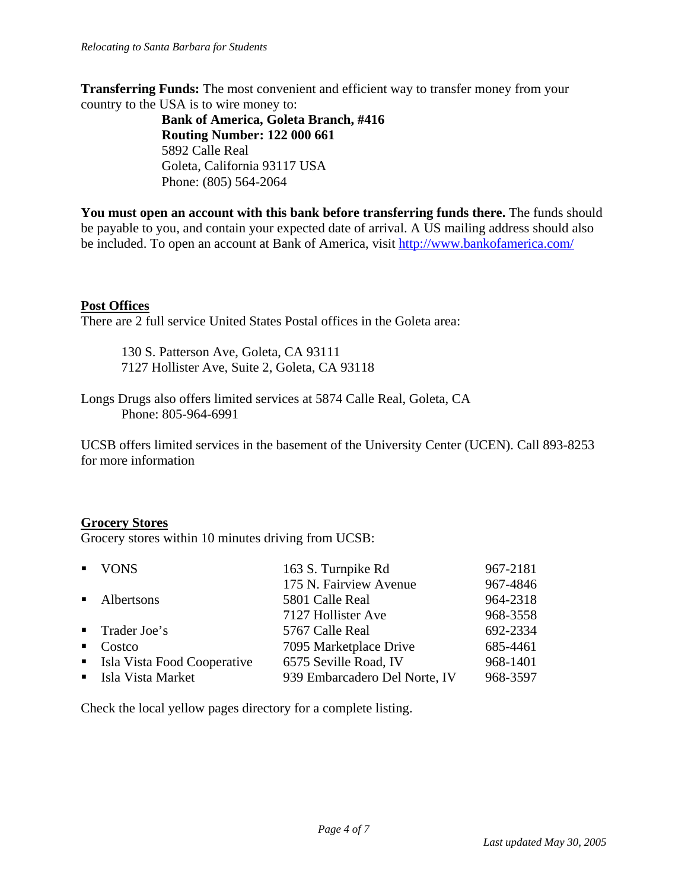**Transferring Funds:** The most convenient and efficient way to transfer money from your country to the USA is to wire money to:

**Bank of America, Goleta Branch, #416 Routing Number: 122 000 661** 5892 Calle Real Goleta, California 93117 USA Phone: (805) 564-2064

**You must open an account with this bank before transferring funds there.** The funds should be payable to you, and contain your expected date of arrival. A US mailing address should also be included. To open an account at Bank of America, visit http://www.bankofamerica.com/

### **Post Offices**

There are 2 full service United States Postal offices in the Goleta area:

 130 S. Patterson Ave, Goleta, CA 93111 7127 Hollister Ave, Suite 2, Goleta, CA 93118

Longs Drugs also offers limited services at 5874 Calle Real, Goleta, CA Phone: 805-964-6991

UCSB offers limited services in the basement of the University Center (UCEN). Call 893-8253 for more information

### **Grocery Stores**

Grocery stores within 10 minutes driving from UCSB:

|              | • VONS                        | 163 S. Turnpike Rd            | 967-2181 |
|--------------|-------------------------------|-------------------------------|----------|
|              |                               | 175 N. Fairview Avenue        | 967-4846 |
|              | • Albertsons                  | 5801 Calle Real               | 964-2318 |
|              |                               | 7127 Hollister Ave            | 968-3558 |
|              | $\blacksquare$ Trader Joe's   | 5767 Calle Real               | 692-2334 |
| $\mathbf{u}$ | Costco                        | 7095 Marketplace Drive        | 685-4461 |
|              | • Isla Vista Food Cooperative | 6575 Seville Road, IV         | 968-1401 |
|              | • Isla Vista Market           | 939 Embarcadero Del Norte, IV | 968-3597 |

Check the local yellow pages directory for a complete listing.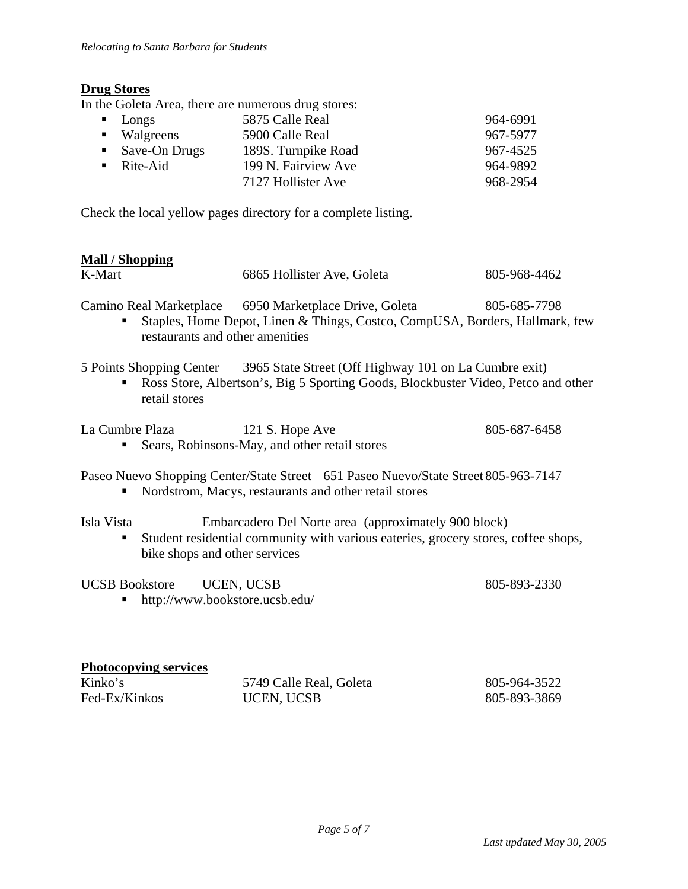## **Drug Stores**

In the Goleta Area, there are numerous drug stores:

| $\blacksquare$ Longs         | 5875 Calle Real     | 964-6991 |
|------------------------------|---------------------|----------|
| $\blacksquare$ Walgreens     | 5900 Calle Real     | 967-5977 |
| $\blacksquare$ Save-On Drugs | 189S. Turnpike Road | 967-4525 |
| $\blacksquare$ Rite-Aid      | 199 N. Fairview Ave | 964-9892 |
|                              | 7127 Hollister Ave  | 968-2954 |
|                              |                     |          |

Check the local yellow pages directory for a complete listing.

## **Mall / Shopping**

| K-Mart                                                  | 6865 Hollister Ave, Goleta                                                                                                                  | 805-968-4462 |
|---------------------------------------------------------|---------------------------------------------------------------------------------------------------------------------------------------------|--------------|
| restaurants and other amenities                         | Camino Real Marketplace 6950 Marketplace Drive, Goleta<br>Staples, Home Depot, Linen & Things, Costco, CompUSA, Borders, Hallmark, few      | 805-685-7798 |
| 5 Points Shopping Center<br>retail stores               | 3965 State Street (Off Highway 101 on La Cumbre exit)<br>Ross Store, Albertson's, Big 5 Sporting Goods, Blockbuster Video, Petco and other  |              |
| La Cumbre Plaza                                         | 121 S. Hope Ave<br>Sears, Robinsons-May, and other retail stores                                                                            | 805-687-6458 |
| ٠                                                       | Paseo Nuevo Shopping Center/State Street 651 Paseo Nuevo/State Street 805-963-7147<br>Nordstrom, Macys, restaurants and other retail stores |              |
| Isla Vista<br>п<br>bike shops and other services        | Embarcadero Del Norte area (approximately 900 block)<br>Student residential community with various eateries, grocery stores, coffee shops,  |              |
| <b>UCSB</b> Bookstore<br>http://www.bookstore.ucsb.edu/ | UCEN, UCSB                                                                                                                                  | 805-893-2330 |
| <b>Photocopying services</b>                            |                                                                                                                                             |              |
| Kinko's                                                 | 5749 Calle Real, Goleta                                                                                                                     | 805-964-3522 |
| Fed-Ex/Kinkos                                           | <b>UCEN, UCSB</b>                                                                                                                           | 805-893-3869 |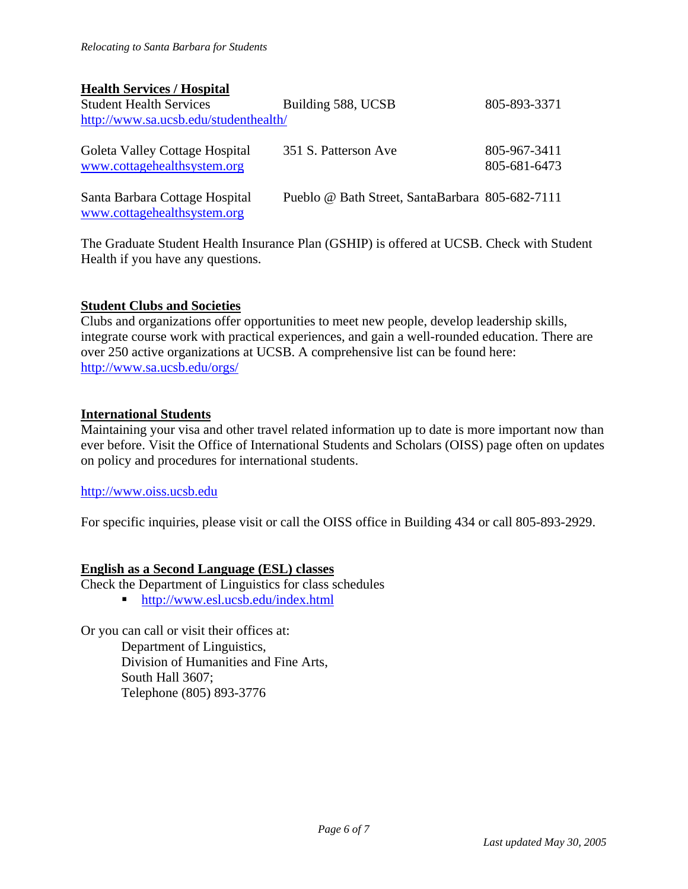### **Health Services / Hospital**

| <b>Student Health Services</b>                                | Building 588, UCSB                              | 805-893-3371                 |  |  |
|---------------------------------------------------------------|-------------------------------------------------|------------------------------|--|--|
| http://www.sa.ucsb.edu/studenthealth/                         |                                                 |                              |  |  |
| Goleta Valley Cottage Hospital<br>www.cottagehealthsystem.org | 351 S. Patterson Ave                            | 805-967-3411<br>805-681-6473 |  |  |
| Santa Barbara Cottage Hospital<br>www.cottagehealthsystem.org | Pueblo @ Bath Street, SantaBarbara 805-682-7111 |                              |  |  |

The Graduate Student Health Insurance Plan (GSHIP) is offered at UCSB. Check with Student Health if you have any questions.

### **Student Clubs and Societies**

Clubs and organizations offer opportunities to meet new people, develop leadership skills, integrate course work with practical experiences, and gain a well-rounded education. There are over 250 active organizations at UCSB. A comprehensive list can be found here: http://www.sa.ucsb.edu/orgs/

#### **International Students**

Maintaining your visa and other travel related information up to date is more important now than ever before. Visit the Office of International Students and Scholars (OISS) page often on updates on policy and procedures for international students.

#### http://www.oiss.ucsb.edu

For specific inquiries, please visit or call the OISS office in Building 434 or call 805-893-2929.

### **English as a Second Language (ESL) classes**

Check the Department of Linguistics for class schedules

■ http://www.esl.ucsb.edu/index.html

Or you can call or visit their offices at: Department of Linguistics, Division of Humanities and Fine Arts, South Hall 3607; Telephone (805) 893-3776